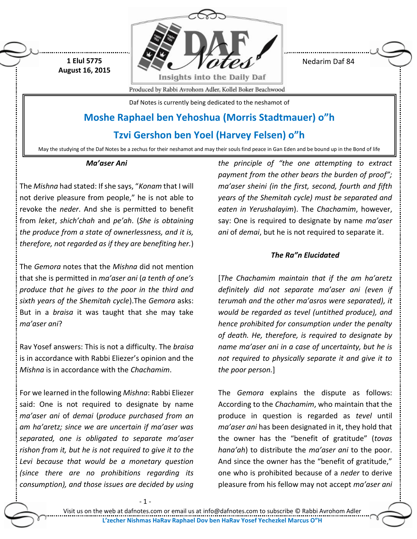

Nedarim Daf 84

Produced by Rabbi Avrohom Adler, Kollel Boker Beachwood

Daf Notes is currently being dedicated to the neshamot of

## **Moshe Raphael ben Yehoshua (Morris Stadtmauer) o"h**

## **Tzvi Gershon ben Yoel (Harvey Felsen) o"h**

May the studying of the Daf Notes be a zechus for their neshamot and may their souls find peace in Gan Eden and be bound up in the Bond of life

## *Ma'aser Ani*

**1 Elul 5775 August 16, 2015**

The *Mishna* had stated: If she says, "*Konam* that I will not derive pleasure from people," he is not able to revoke the *neder*. And she is permitted to benefit from *leket*, *shich'chah* and *pe'ah*. (*She is obtaining the produce from a state of ownerlessness, and it is, therefore, not regarded as if they are benefiting her.*)

The *Gemora* notes that the *Mishna* did not mention that she is permitted in *ma'aser ani* (*a tenth of one's produce that he gives to the poor in the third and sixth years of the Shemitah cycle*).The *Gemora* asks: But in a *braisa* it was taught that she may take *ma'aser ani*?

Rav Yosef answers: This is not a difficulty. The *braisa* is in accordance with Rabbi Eliezer's opinion and the *Mishna* is in accordance with the *Chachamim*.

For we learned in the following *Mishna*: Rabbi Eliezer said: One is not required to designate by name *ma'aser ani* of *demai* (*produce purchased from an am ha'aretz; since we are uncertain if ma'aser was separated, one is obligated to separate ma'aser rishon from it, but he is not required to give it to the Levi because that would be a monetary question (since there are no prohibitions regarding its consumption), and those issues are decided by using* 

- 1 -

*the principle of "the one attempting to extract payment from the other bears the burden of proof"; ma'aser sheini (in the first, second, fourth and fifth years of the Shemitah cycle) must be separated and eaten in Yerushalayim*). The *Chachamim*, however, say: One is required to designate by name *ma'aser ani* of *demai*, but he is not required to separate it.

## *The Ra"n Elucidated*

[*The Chachamim maintain that if the am ha'aretz definitely did not separate ma'aser ani (even if terumah and the other ma'asros were separated), it would be regarded as tevel (untithed produce), and hence prohibited for consumption under the penalty of death. He, therefore, is required to designate by name ma'aser ani in a case of uncertainty, but he is not required to physically separate it and give it to the poor person.*]

The *Gemora* explains the dispute as follows: According to the *Chachamim*, who maintain that the produce in question is regarded as *tevel* until *ma'aser ani* has been designated in it, they hold that the owner has the "benefit of gratitude" (*tovas hana'ah*) to distribute the *ma'aser ani* to the poor. And since the owner has the "benefit of gratitude," one who is prohibited because of a *neder* to derive pleasure from his fellow may not accept *ma'aser ani*

Visit us on the web at dafnotes.com or email us at [info@dafnotes.com](mailto:info@dafnotes.com) to subscribe © Rabbi Avrohom Adler **L'zecher Nishmas HaRav Raphael Dov ben HaRav Yosef Yechezkel Marcus O"H**